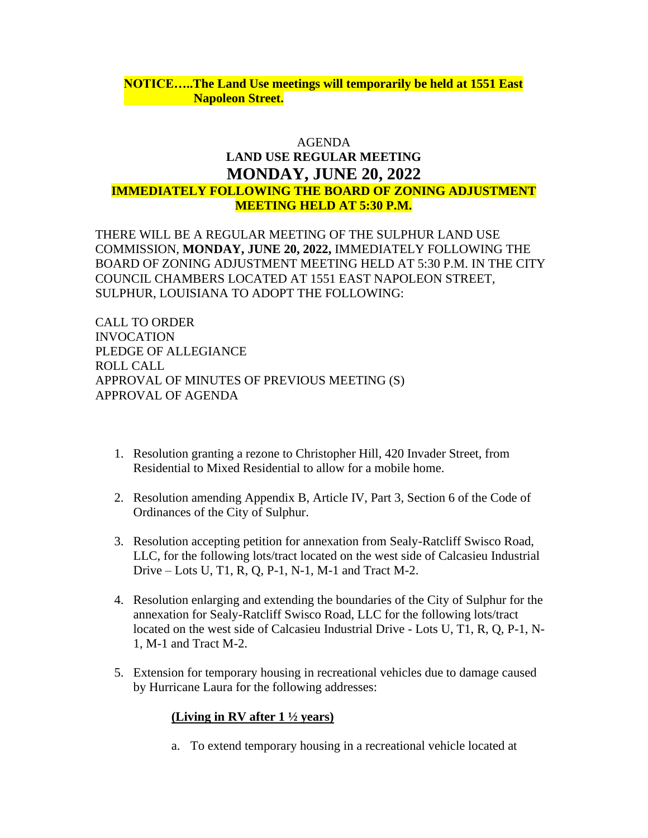## **NOTICE…..The Land Use meetings will temporarily be held at 1551 East Napoleon Street.**

# AGENDA **LAND USE REGULAR MEETING MONDAY, JUNE 20, 2022 IMMEDIATELY FOLLOWING THE BOARD OF ZONING ADJUSTMENT MEETING HELD AT 5:30 P.M.**

THERE WILL BE A REGULAR MEETING OF THE SULPHUR LAND USE COMMISSION, **MONDAY, JUNE 20, 2022,** IMMEDIATELY FOLLOWING THE BOARD OF ZONING ADJUSTMENT MEETING HELD AT 5:30 P.M. IN THE CITY COUNCIL CHAMBERS LOCATED AT 1551 EAST NAPOLEON STREET, SULPHUR, LOUISIANA TO ADOPT THE FOLLOWING:

CALL TO ORDER INVOCATION PLEDGE OF ALLEGIANCE ROLL CALL APPROVAL OF MINUTES OF PREVIOUS MEETING (S) APPROVAL OF AGENDA

- 1. Resolution granting a rezone to Christopher Hill, 420 Invader Street, from Residential to Mixed Residential to allow for a mobile home.
- 2. Resolution amending Appendix B, Article IV, Part 3, Section 6 of the Code of Ordinances of the City of Sulphur.
- 3. Resolution accepting petition for annexation from Sealy-Ratcliff Swisco Road, LLC, for the following lots/tract located on the west side of Calcasieu Industrial Drive – Lots U, T1, R, Q, P-1, N-1, M-1 and Tract M-2.
- 4. Resolution enlarging and extending the boundaries of the City of Sulphur for the annexation for Sealy-Ratcliff Swisco Road, LLC for the following lots/tract located on the west side of Calcasieu Industrial Drive - Lots U, T1, R, Q, P-1, N-1, M-1 and Tract M-2.
- 5. Extension for temporary housing in recreational vehicles due to damage caused by Hurricane Laura for the following addresses:

# **(Living in RV after 1 ½ years)**

a. To extend temporary housing in a recreational vehicle located at